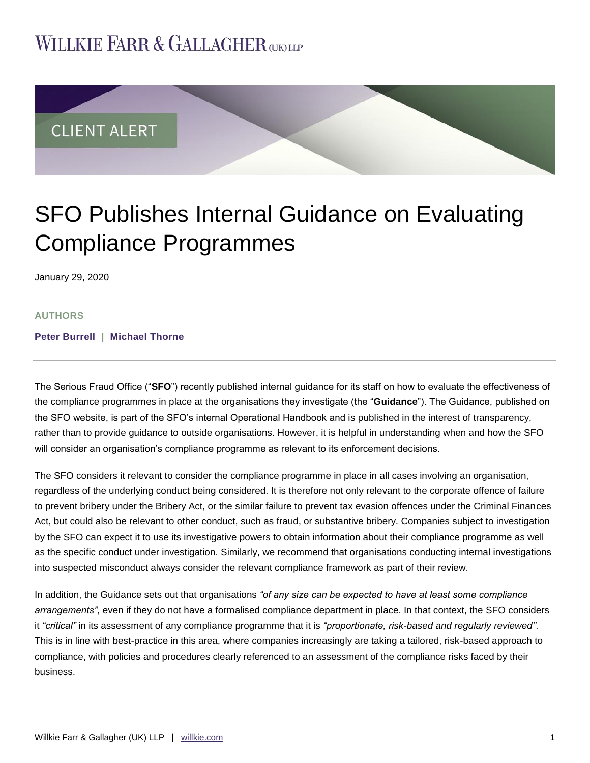## **WILLKIE FARR & GALLAGHER GINLE**



# SFO Publishes Internal Guidance on Evaluating Compliance Programmes

January 29, 2020

#### **AUTHORS**

**[Peter Burrell](https://www.willkie.com/professionals/b/burrell-peter) | [Michael Thorne](https://www.willkie.com/professionals/t/thorne-michael)**

The Serious Fraud Office ("**SFO**") recently published internal guidance for its staff on how to evaluate the effectiveness of the compliance programmes in place at the organisations they investigate (the "**Guidance**"). The Guidance, published on the SFO website, is part of the SFO's internal Operational Handbook and is published in the interest of transparency, rather than to provide guidance to outside organisations. However, it is helpful in understanding when and how the SFO will consider an organisation's compliance programme as relevant to its enforcement decisions.

The SFO considers it relevant to consider the compliance programme in place in all cases involving an organisation, regardless of the underlying conduct being considered. It is therefore not only relevant to the corporate offence of failure to prevent bribery under the Bribery Act, or the similar failure to prevent tax evasion offences under the Criminal Finances Act, but could also be relevant to other conduct, such as fraud, or substantive bribery. Companies subject to investigation by the SFO can expect it to use its investigative powers to obtain information about their compliance programme as well as the specific conduct under investigation. Similarly, we recommend that organisations conducting internal investigations into suspected misconduct always consider the relevant compliance framework as part of their review.

In addition, the Guidance sets out that organisations *"of any size can be expected to have at least some compliance arrangements"*, even if they do not have a formalised compliance department in place. In that context, the SFO considers it *"critical"* in its assessment of any compliance programme that it is *"proportionate, risk-based and regularly reviewed"*. This is in line with best-practice in this area, where companies increasingly are taking a tailored, risk-based approach to compliance, with policies and procedures clearly referenced to an assessment of the compliance risks faced by their business.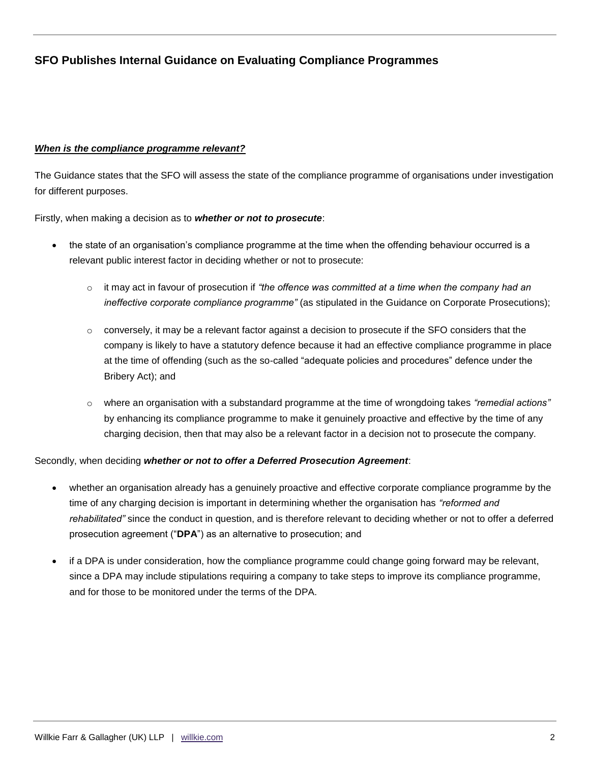## **SFO Publishes Internal Guidance on Evaluating Compliance Programmes**

#### *When is the compliance programme relevant?*

The Guidance states that the SFO will assess the state of the compliance programme of organisations under investigation for different purposes.

Firstly, when making a decision as to *whether or not to prosecute*:

- the state of an organisation's compliance programme at the time when the offending behaviour occurred is a relevant public interest factor in deciding whether or not to prosecute:
	- o it may act in favour of prosecution if *"the offence was committed at a time when the company had an ineffective corporate compliance programme"* (as stipulated in the Guidance on Corporate Prosecutions);
	- $\circ$  conversely, it may be a relevant factor against a decision to prosecute if the SFO considers that the company is likely to have a statutory defence because it had an effective compliance programme in place at the time of offending (such as the so-called "adequate policies and procedures" defence under the Bribery Act); and
	- o where an organisation with a substandard programme at the time of wrongdoing takes *"remedial actions"* by enhancing its compliance programme to make it genuinely proactive and effective by the time of any charging decision, then that may also be a relevant factor in a decision not to prosecute the company.

#### Secondly, when deciding *whether or not to offer a Deferred Prosecution Agreement*:

- whether an organisation already has a genuinely proactive and effective corporate compliance programme by the time of any charging decision is important in determining whether the organisation has *"reformed and rehabilitated"* since the conduct in question, and is therefore relevant to deciding whether or not to offer a deferred prosecution agreement ("**DPA**") as an alternative to prosecution; and
- if a DPA is under consideration, how the compliance programme could change going forward may be relevant, since a DPA may include stipulations requiring a company to take steps to improve its compliance programme, and for those to be monitored under the terms of the DPA.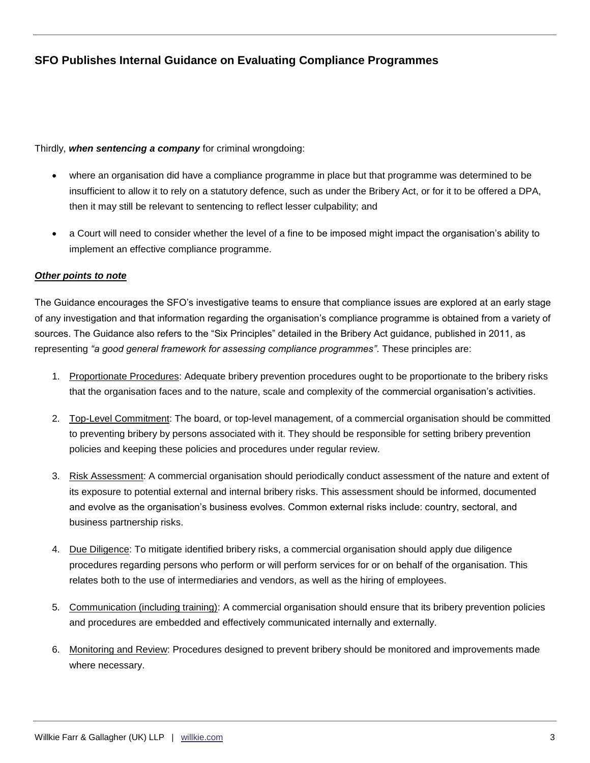## **SFO Publishes Internal Guidance on Evaluating Compliance Programmes**

Thirdly, *when sentencing a company* for criminal wrongdoing:

- where an organisation did have a compliance programme in place but that programme was determined to be insufficient to allow it to rely on a statutory defence, such as under the Bribery Act, or for it to be offered a DPA, then it may still be relevant to sentencing to reflect lesser culpability; and
- a Court will need to consider whether the level of a fine to be imposed might impact the organisation's ability to implement an effective compliance programme.

#### *Other points to note*

The Guidance encourages the SFO's investigative teams to ensure that compliance issues are explored at an early stage of any investigation and that information regarding the organisation's compliance programme is obtained from a variety of sources. The Guidance also refers to the "Six Principles" detailed in the Bribery Act guidance, published in 2011, as representing *"a good general framework for assessing compliance programmes"*. These principles are:

- 1. Proportionate Procedures: Adequate bribery prevention procedures ought to be proportionate to the bribery risks that the organisation faces and to the nature, scale and complexity of the commercial organisation's activities.
- 2. Top-Level Commitment: The board, or top-level management, of a commercial organisation should be committed to preventing bribery by persons associated with it. They should be responsible for setting bribery prevention policies and keeping these policies and procedures under regular review.
- 3. Risk Assessment: A commercial organisation should periodically conduct assessment of the nature and extent of its exposure to potential external and internal bribery risks. This assessment should be informed, documented and evolve as the organisation's business evolves. Common external risks include: country, sectoral, and business partnership risks.
- 4. Due Diligence: To mitigate identified bribery risks, a commercial organisation should apply due diligence procedures regarding persons who perform or will perform services for or on behalf of the organisation. This relates both to the use of intermediaries and vendors, as well as the hiring of employees.
- 5. Communication (including training): A commercial organisation should ensure that its bribery prevention policies and procedures are embedded and effectively communicated internally and externally.
- 6. Monitoring and Review: Procedures designed to prevent bribery should be monitored and improvements made where necessary.